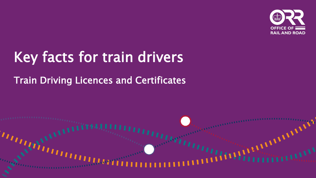

# Key facts for train drivers

#### Train Driving Licences and Certificates

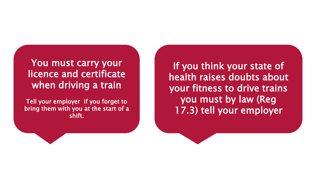#### You must carry your licence and certificate when driving a train

Tell your employer if you forget to bring them with you at the start of a shift.

If you think your state of health raises doubts about your fitness to drive trains you must by law (Reg 17.3) tell your employer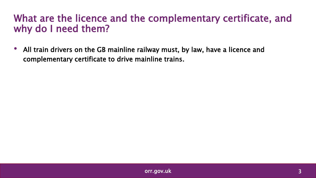#### What are the licence and the complementary certificate, and why do I need them?

• All train drivers on the GB mainline railway must, by law, have a licence and complementary certificate to drive mainline trains.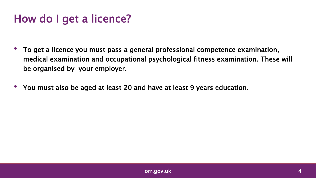### How do I get a licence?

- To get a licence you must pass a general professional competence examination, medical examination and occupational psychological fitness examination. These will be organised by your employer.
- You must also be aged at least 20 and have at least 9 years education.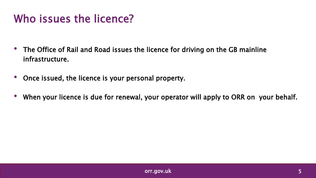### Who issues the licence?

- The Office of Rail and Road issues the licence for driving on the GB mainline infrastructure.
- Once issued, the licence is your personal property.
- When your licence is due for renewal, your operator will apply to ORR on your behalf.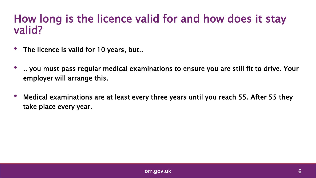#### How long is the licence valid for and how does it stay valid?

- The licence is valid for 10 years, but..
- .. you must pass regular medical examinations to ensure you are still fit to drive. Your employer will arrange this.
- Medical examinations are at least every three years until you reach 55. After 55 they take place every year.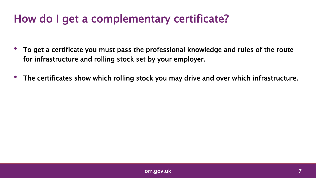### How do I get a complementary certificate?

- To get a certificate you must pass the professional knowledge and rules of the route for infrastructure and rolling stock set by your employer.
- The certificates show which rolling stock you may drive and over which infrastructure.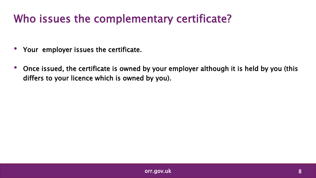### Who issues the complementary certificate?

- Your employer issues the certificate.
- Once issued, the certificate is owned by your employer although it is held by you (this differs to your licence which is owned by you).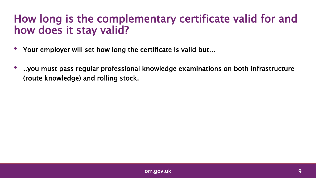#### How long is the complementary certificate valid for and how does it stay valid?

- Your employer will set how long the certificate is valid but…
- ..you must pass regular professional knowledge examinations on both infrastructure (route knowledge) and rolling stock.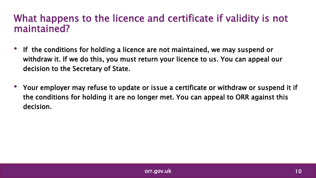#### What happens to the licence and certificate if validity is not maintained?

- If the conditions for holding a licence are not maintained, we may suspend or withdraw it. If we do this, you must return your licence to us. You can appeal our decision to the Secretary of State.
- Your employer may refuse to update or issue a certificate or withdraw or suspend it if the conditions for holding it are no longer met. You can appeal to ORR against this decision.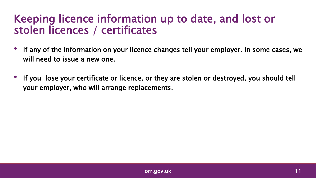#### Keeping licence information up to date, and lost or stolen licences / certificates

- If any of the information on your licence changes tell your employer. In some cases, we will need to issue a new one.
- If you lose your certificate or licence, or they are stolen or destroyed, you should tell your employer, who will arrange replacements.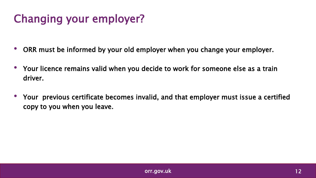## Changing your employer?

- ORR must be informed by your old employer when you change your employer.
- Your licence remains valid when you decide to work for someone else as a train driver.
- Your previous certificate becomes invalid, and that employer must issue a certified copy to you when you leave.